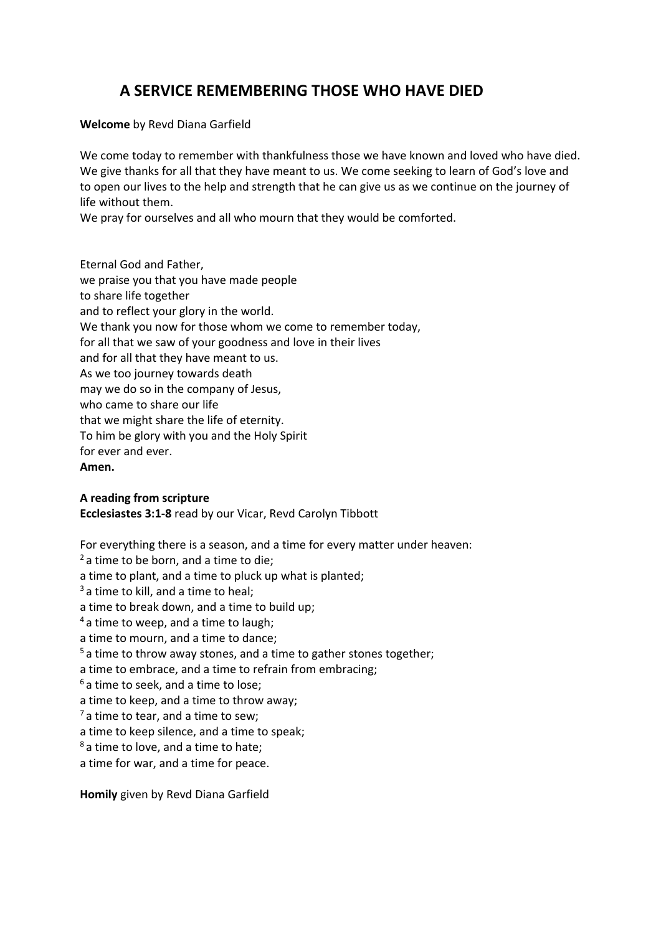## **A SERVICE REMEMBERING THOSE WHO HAVE DIED**

**Welcome** by Revd Diana Garfield

We come today to remember with thankfulness those we have known and loved who have died. We give thanks for all that they have meant to us. We come seeking to learn of God's love and to open our lives to the help and strength that he can give us as we continue on the journey of life without them.

We pray for ourselves and all who mourn that they would be comforted.

Eternal God and Father, we praise you that you have made people to share life together and to reflect your glory in the world. We thank you now for those whom we come to remember today, for all that we saw of your goodness and love in their lives and for all that they have meant to us. As we too journey towards death may we do so in the company of Jesus, who came to share our life that we might share the life of eternity. To him be glory with you and the Holy Spirit for ever and ever. **Amen.**

## **A reading from scripture**

**Ecclesiastes 3:1-8** read by our Vicar, Revd Carolyn Tibbott

For everything there is a season, and a time for every matter under heaven:  $2a$  time to be born, and a time to die; a time to plant, and a time to pluck up what is planted;  $3a$  time to kill, and a time to heal; a time to break down, and a time to build up;  $4a$  time to weep, and a time to laugh; a time to mourn, and a time to dance;  $5a$  time to throw away stones, and a time to gather stones together; a time to embrace, and a time to refrain from embracing;  $6a$  time to seek, and a time to lose; a time to keep, and a time to throw away;  $<sup>7</sup>$  a time to tear, and a time to sew;</sup> a time to keep silence, and a time to speak; <sup>8</sup> a time to love, and a time to hate; a time for war, and a time for peace.

**Homily** given by Revd Diana Garfield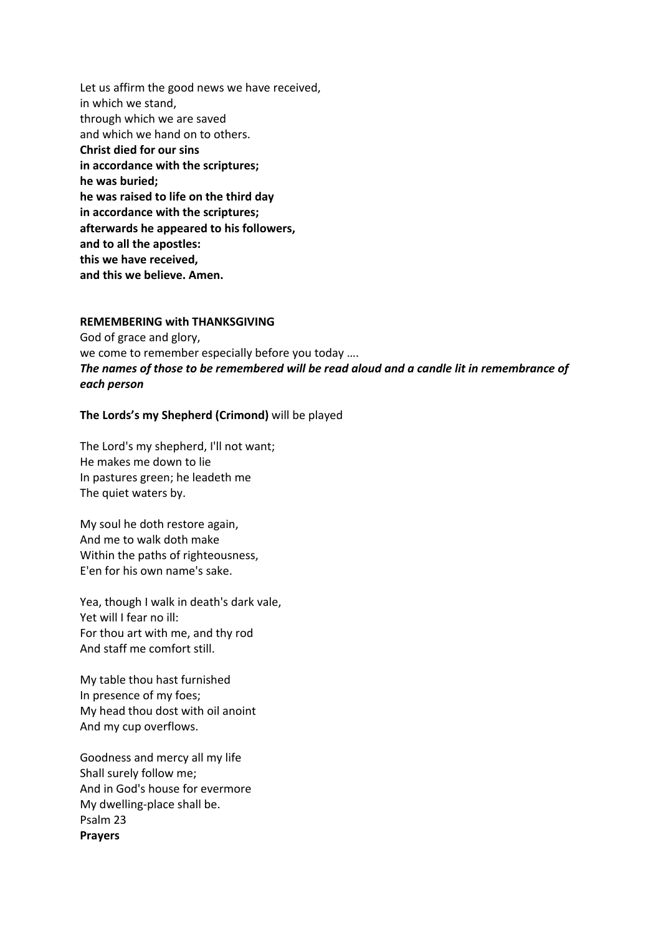Let us affirm the good news we have received, in which we stand, through which we are saved and which we hand on to others. **Christ died for our sins in accordance with the scriptures; he was buried; he was raised to life on the third day in accordance with the scriptures; afterwards he appeared to his followers, and to all the apostles: this we have received, and this we believe. Amen.**

## **REMEMBERING with THANKSGIVING**

God of grace and glory, we come to remember especially before you today …. *The names of those to be remembered will be read aloud and a candle lit in remembrance of each person*

## **The Lords's my Shepherd (Crimond)** will be played

The Lord's my shepherd, I'll not want; He makes me down to lie In pastures green; he leadeth me The quiet waters by.

My soul he doth restore again, And me to walk doth make Within the paths of righteousness, E'en for his own name's sake.

Yea, though I walk in death's dark vale, Yet will I fear no ill: For thou art with me, and thy rod And staff me comfort still.

My table thou hast furnished In presence of my foes; My head thou dost with oil anoint And my cup overflows.

Goodness and mercy all my life Shall surely follow me; And in God's house for evermore My dwelling-place shall be. Psalm 23 **Prayers**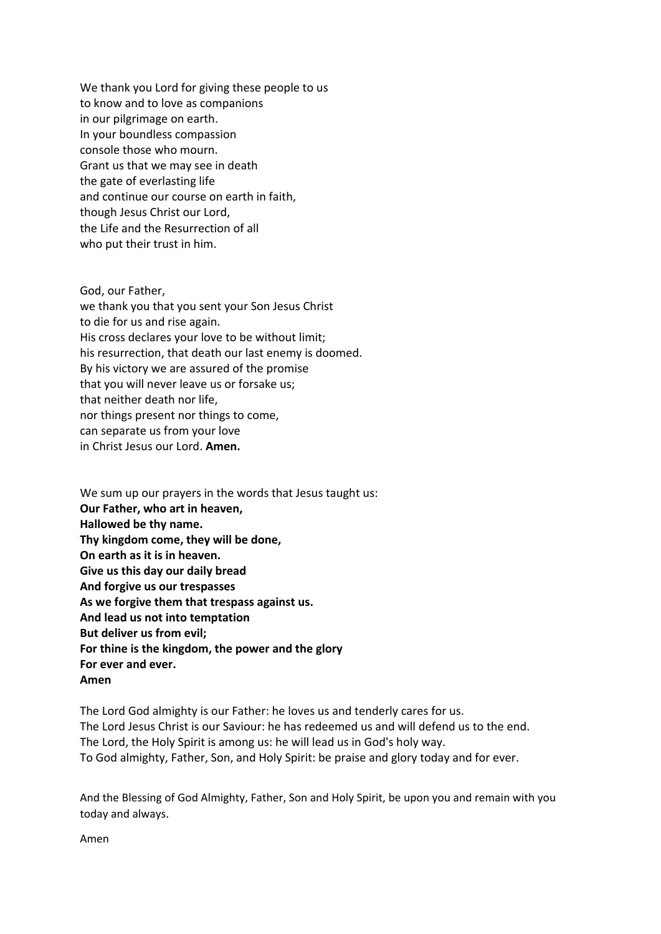We thank you Lord for giving these people to us to know and to love as companions in our pilgrimage on earth. In your boundless compassion console those who mourn. Grant us that we may see in death the gate of everlasting life and continue our course on earth in faith, though Jesus Christ our Lord, the Life and the Resurrection of all who put their trust in him.

God, our Father, we thank you that you sent your Son Jesus Christ to die for us and rise again. His cross declares your love to be without limit; his resurrection, that death our last enemy is doomed. By his victory we are assured of the promise that you will never leave us or forsake us; that neither death nor life, nor things present nor things to come, can separate us from your love in Christ Jesus our Lord. **Amen.**

We sum up our prayers in the words that Jesus taught us: **Our Father, who art in heaven, Hallowed be thy name. Thy kingdom come, they will be done, On earth as it is in heaven. Give us this day our daily bread And forgive us our trespasses As we forgive them that trespass against us. And lead us not into temptation But deliver us from evil; For thine is the kingdom, the power and the glory For ever and ever. Amen**

The Lord God almighty is our Father: he loves us and tenderly cares for us. The Lord Jesus Christ is our Saviour: he has redeemed us and will defend us to the end. The Lord, the Holy Spirit is among us: he will lead us in God's holy way. To God almighty, Father, Son, and Holy Spirit: be praise and glory today and for ever.

And the Blessing of God Almighty, Father, Son and Holy Spirit, be upon you and remain with you today and always.

Amen